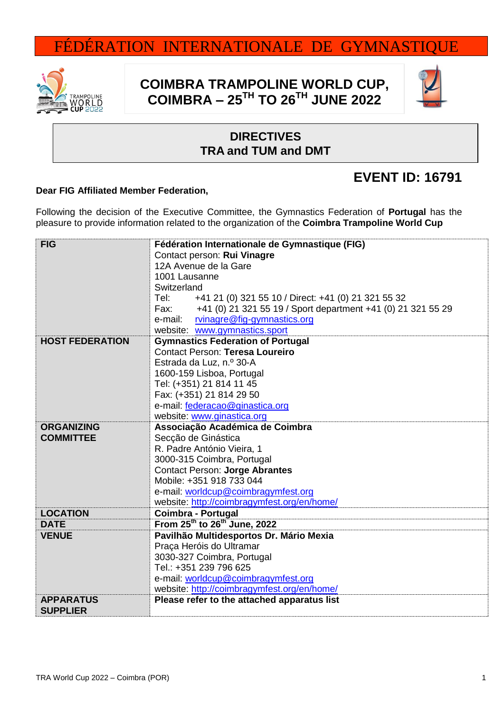# FÉDÉRATION INTERNATIONALE DE GYMNASTIQUE



## **COIMBRA TRAMPOLINE WORLD CUP, COIMBRA – 25 TH TO 26TH JUNE 2022**



### **DIRECTIVES TRA and TUM and DMT**

### **EVENT ID: 16791**

#### **Dear FIG Affiliated Member Federation,**

Following the decision of the Executive Committee, the Gymnastics Federation of **Portugal** has the pleasure to provide information related to the organization of the **Coimbra Trampoline World Cup**

| <b>FIG</b>                          | Fédération Internationale de Gymnastique (FIG)                    |  |  |
|-------------------------------------|-------------------------------------------------------------------|--|--|
|                                     | Contact person: Rui Vinagre                                       |  |  |
|                                     | 12A Avenue de la Gare                                             |  |  |
|                                     | 1001 Lausanne                                                     |  |  |
|                                     | Switzerland                                                       |  |  |
|                                     | +41 21 (0) 321 55 10 / Direct: +41 (0) 21 321 55 32<br>Tel:       |  |  |
|                                     | Fax: +41 (0) 21 321 55 19 / Sport department +41 (0) 21 321 55 29 |  |  |
|                                     | e-mail:<br>rvinagre@fig-gymnastics.org                            |  |  |
|                                     | website: www.gymnastics.sport                                     |  |  |
| <b>HOST FEDERATION</b>              | <b>Gymnastics Federation of Portugal</b>                          |  |  |
|                                     | <b>Contact Person: Teresa Loureiro</b>                            |  |  |
|                                     | Estrada da Luz, n.º 30-A                                          |  |  |
|                                     | 1600-159 Lisboa, Portugal                                         |  |  |
|                                     | Tel: (+351) 21 814 11 45                                          |  |  |
|                                     | Fax: (+351) 21 814 29 50                                          |  |  |
|                                     | e-mail: federacao@ginastica.org                                   |  |  |
|                                     | website: www.ginastica.org                                        |  |  |
| <b>ORGANIZING</b>                   | Associação Académica de Coimbra                                   |  |  |
| <b>COMMITTEE</b>                    | Secção de Ginástica                                               |  |  |
|                                     | R. Padre António Vieira, 1                                        |  |  |
|                                     | 3000-315 Coimbra, Portugal                                        |  |  |
|                                     | <b>Contact Person: Jorge Abrantes</b>                             |  |  |
|                                     | Mobile: +351 918 733 044                                          |  |  |
|                                     | e-mail: worldcup@coimbragymfest.org                               |  |  |
|                                     | website: http://coimbragymfest.org/en/home/                       |  |  |
| <b>LOCATION</b>                     | Coimbra - Portugal                                                |  |  |
| <b>DATE</b>                         | From 25 <sup>th</sup> to 26 <sup>th</sup> June, 2022              |  |  |
| <b>VENUE</b>                        | Pavilhão Multidesportos Dr. Mário Mexia                           |  |  |
|                                     | Praça Heróis do Ultramar                                          |  |  |
|                                     | 3030-327 Coimbra, Portugal                                        |  |  |
|                                     | Tel.: +351 239 796 625                                            |  |  |
|                                     | e-mail: worldcup@coimbragymfest.org                               |  |  |
|                                     | website: http://coimbragymfest.org/en/home/                       |  |  |
| <b>APPARATUS</b><br><b>SUPPLIER</b> | Please refer to the attached apparatus list                       |  |  |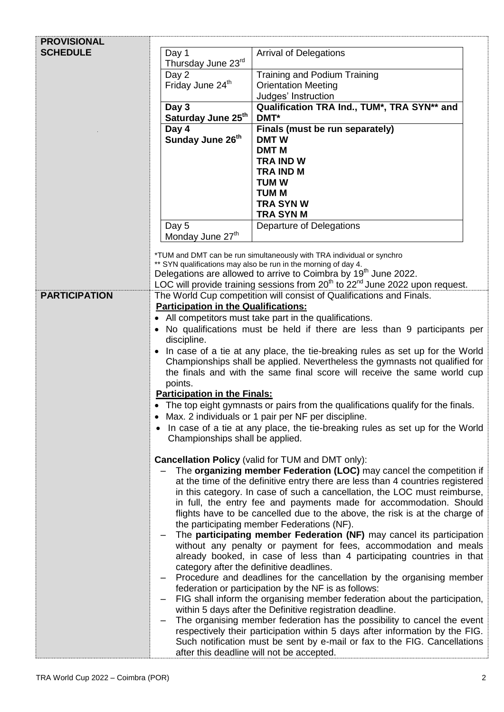| <b>PROVISIONAL</b>   |                                                                                                                                                         |                                                                                                                                                   |  |  |
|----------------------|---------------------------------------------------------------------------------------------------------------------------------------------------------|---------------------------------------------------------------------------------------------------------------------------------------------------|--|--|
| <b>SCHEDULE</b>      | Day 1<br>Thursday June 23rd                                                                                                                             | <b>Arrival of Delegations</b>                                                                                                                     |  |  |
|                      | Day 2                                                                                                                                                   | <b>Training and Podium Training</b>                                                                                                               |  |  |
|                      | Friday June 24 <sup>th</sup>                                                                                                                            | <b>Orientation Meeting</b>                                                                                                                        |  |  |
|                      | Day 3                                                                                                                                                   | Judges' Instruction<br>Qualification TRA Ind., TUM*, TRA SYN** and                                                                                |  |  |
|                      | Saturday June 25th                                                                                                                                      | DMT*                                                                                                                                              |  |  |
|                      | Day 4                                                                                                                                                   | Finals (must be run separately)                                                                                                                   |  |  |
|                      | Sunday June 26 <sup>th</sup>                                                                                                                            | <b>DMTW</b>                                                                                                                                       |  |  |
|                      |                                                                                                                                                         | <b>DMT M</b><br><b>TRA IND W</b>                                                                                                                  |  |  |
|                      |                                                                                                                                                         | <b>TRA IND M</b>                                                                                                                                  |  |  |
|                      |                                                                                                                                                         | <b>TUM W</b>                                                                                                                                      |  |  |
|                      |                                                                                                                                                         | <b>TUM M</b>                                                                                                                                      |  |  |
|                      |                                                                                                                                                         | <b>TRA SYN W</b><br><b>TRA SYN M</b>                                                                                                              |  |  |
|                      | Day 5                                                                                                                                                   | Departure of Delegations                                                                                                                          |  |  |
|                      | Monday June 27 <sup>th</sup>                                                                                                                            |                                                                                                                                                   |  |  |
|                      |                                                                                                                                                         | *TUM and DMT can be run simultaneously with TRA individual or synchro                                                                             |  |  |
|                      |                                                                                                                                                         | ** SYN qualifications may also be run in the morning of day 4.<br>Delegations are allowed to arrive to Coimbra by 19 <sup>th</sup> June 2022.     |  |  |
|                      |                                                                                                                                                         | LOC will provide training sessions from 20 <sup>th</sup> to 22 <sup>nd</sup> June 2022 upon request.                                              |  |  |
| <b>PARTICIPATION</b> | The World Cup competition will consist of Qualifications and Finals.                                                                                    |                                                                                                                                                   |  |  |
|                      | <b>Participation in the Qualifications:</b>                                                                                                             |                                                                                                                                                   |  |  |
|                      |                                                                                                                                                         | • All competitors must take part in the qualifications.                                                                                           |  |  |
|                      | No qualifications must be held if there are less than 9 participants per<br>discipline.                                                                 |                                                                                                                                                   |  |  |
|                      | • In case of a tie at any place, the tie-breaking rules as set up for the World                                                                         |                                                                                                                                                   |  |  |
|                      | Championships shall be applied. Nevertheless the gymnasts not qualified for<br>the finals and with the same final score will receive the same world cup |                                                                                                                                                   |  |  |
|                      | points.                                                                                                                                                 |                                                                                                                                                   |  |  |
|                      | <b>Participation in the Finals:</b>                                                                                                                     |                                                                                                                                                   |  |  |
|                      |                                                                                                                                                         | • The top eight gymnasts or pairs from the qualifications qualify for the finals.                                                                 |  |  |
|                      | Max. 2 individuals or 1 pair per NF per discipline.                                                                                                     |                                                                                                                                                   |  |  |
|                      | In case of a tie at any place, the tie-breaking rules as set up for the World<br>Championships shall be applied.                                        |                                                                                                                                                   |  |  |
|                      |                                                                                                                                                         | <b>Cancellation Policy (valid for TUM and DMT only):</b>                                                                                          |  |  |
|                      |                                                                                                                                                         | The organizing member Federation (LOC) may cancel the competition if                                                                              |  |  |
|                      |                                                                                                                                                         | at the time of the definitive entry there are less than 4 countries registered                                                                    |  |  |
|                      |                                                                                                                                                         | in this category. In case of such a cancellation, the LOC must reimburse,                                                                         |  |  |
|                      |                                                                                                                                                         | in full, the entry fee and payments made for accommodation. Should<br>flights have to be cancelled due to the above, the risk is at the charge of |  |  |
|                      |                                                                                                                                                         | the participating member Federations (NF).                                                                                                        |  |  |
|                      | The participating member Federation (NF) may cancel its participation                                                                                   |                                                                                                                                                   |  |  |
|                      |                                                                                                                                                         | without any penalty or payment for fees, accommodation and meals                                                                                  |  |  |
|                      |                                                                                                                                                         | already booked, in case of less than 4 participating countries in that<br>category after the definitive deadlines.                                |  |  |
|                      | $\qquad \qquad -$                                                                                                                                       | Procedure and deadlines for the cancellation by the organising member                                                                             |  |  |
|                      |                                                                                                                                                         | federation or participation by the NF is as follows:                                                                                              |  |  |
|                      | $\qquad \qquad -$                                                                                                                                       | FIG shall inform the organising member federation about the participation,                                                                        |  |  |
|                      |                                                                                                                                                         | within 5 days after the Definitive registration deadline.<br>The organising member federation has the possibility to cancel the event             |  |  |
|                      |                                                                                                                                                         | respectively their participation within 5 days after information by the FIG.                                                                      |  |  |
|                      |                                                                                                                                                         | Such notification must be sent by e-mail or fax to the FIG. Cancellations                                                                         |  |  |
|                      |                                                                                                                                                         | after this deadline will not be accepted.                                                                                                         |  |  |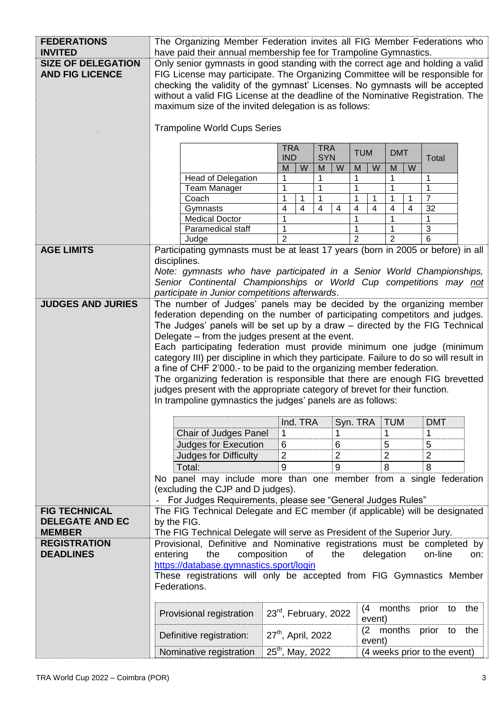| <b>FEDERATIONS</b><br><b>INVITED</b>                | The Organizing Member Federation invites all FIG Member Federations who                                                                                                                                                                                                                                                                                                                                                                                                                                                                                                                                                                                                                  |                                            |                                                                                      |  |
|-----------------------------------------------------|------------------------------------------------------------------------------------------------------------------------------------------------------------------------------------------------------------------------------------------------------------------------------------------------------------------------------------------------------------------------------------------------------------------------------------------------------------------------------------------------------------------------------------------------------------------------------------------------------------------------------------------------------------------------------------------|--------------------------------------------|--------------------------------------------------------------------------------------|--|
| <b>SIZE OF DELEGATION</b><br><b>AND FIG LICENCE</b> | have paid their annual membership fee for Trampoline Gymnastics.<br>Only senior gymnasts in good standing with the correct age and holding a valid<br>FIG License may participate. The Organizing Committee will be responsible for<br>checking the validity of the gymnast' Licenses. No gymnasts will be accepted<br>without a valid FIG License at the deadline of the Nominative Registration. The<br>maximum size of the invited delegation is as follows:                                                                                                                                                                                                                          |                                            |                                                                                      |  |
|                                                     | <b>Trampoline World Cups Series</b>                                                                                                                                                                                                                                                                                                                                                                                                                                                                                                                                                                                                                                                      |                                            |                                                                                      |  |
|                                                     | <b>TRA</b><br><b>TRA</b><br><b>TUM</b><br><b>DMT</b><br><b>IND</b><br><b>SYN</b><br>Total                                                                                                                                                                                                                                                                                                                                                                                                                                                                                                                                                                                                |                                            |                                                                                      |  |
|                                                     | <b>Head of Delegation</b>                                                                                                                                                                                                                                                                                                                                                                                                                                                                                                                                                                                                                                                                | M<br>W<br>M<br>W<br>1<br>1                 | W<br>W<br>M<br>M<br>1<br>1<br>1                                                      |  |
|                                                     | <b>Team Manager</b>                                                                                                                                                                                                                                                                                                                                                                                                                                                                                                                                                                                                                                                                      | 1<br>1                                     | 1<br>1                                                                               |  |
|                                                     | Coach                                                                                                                                                                                                                                                                                                                                                                                                                                                                                                                                                                                                                                                                                    | 1<br>1<br>1                                | $\overline{7}$<br>1<br>1<br>1<br>1                                                   |  |
|                                                     | Gymnasts                                                                                                                                                                                                                                                                                                                                                                                                                                                                                                                                                                                                                                                                                 | 4<br>$\overline{4}$<br>$\overline{4}$<br>4 | $\overline{4}$<br>$\overline{4}$<br>$\overline{\mathcal{A}}$<br>$\overline{4}$<br>32 |  |
|                                                     | <b>Medical Doctor</b>                                                                                                                                                                                                                                                                                                                                                                                                                                                                                                                                                                                                                                                                    | 1                                          | 1<br>1<br>1                                                                          |  |
|                                                     | Paramedical staff                                                                                                                                                                                                                                                                                                                                                                                                                                                                                                                                                                                                                                                                        |                                            | $\mathbf{3}$<br>1                                                                    |  |
|                                                     | Judge                                                                                                                                                                                                                                                                                                                                                                                                                                                                                                                                                                                                                                                                                    | $\overline{2}$                             | $\mathfrak{p}$<br>2<br>6                                                             |  |
| <b>AGE LIMITS</b>                                   |                                                                                                                                                                                                                                                                                                                                                                                                                                                                                                                                                                                                                                                                                          |                                            | Participating gymnasts must be at least 17 years (born in 2005 or before) in all     |  |
|                                                     | disciplines.<br>Note: gymnasts who have participated in a Senior World Championships,<br>Senior Continental Championships or World Cup competitions may not<br>participate in Junior competitions afterwards.                                                                                                                                                                                                                                                                                                                                                                                                                                                                            |                                            |                                                                                      |  |
| <b>JUDGES AND JURIES</b>                            |                                                                                                                                                                                                                                                                                                                                                                                                                                                                                                                                                                                                                                                                                          |                                            | The number of Judges' panels may be decided by the organizing member                 |  |
|                                                     | federation depending on the number of participating competitors and judges.<br>The Judges' panels will be set up by a draw - directed by the FIG Technical<br>Delegate – from the judges present at the event.<br>Each participating federation must provide minimum one judge (minimum<br>category III) per discipline in which they participate. Failure to do so will result in<br>a fine of CHF 2'000.- to be paid to the organizing member federation.<br>The organizing federation is responsible that there are enough FIG brevetted<br>judges present with the appropriate category of brevet for their function.<br>In trampoline gymnastics the judges' panels are as follows: |                                            |                                                                                      |  |
|                                                     |                                                                                                                                                                                                                                                                                                                                                                                                                                                                                                                                                                                                                                                                                          | Ind. TRA                                   | <b>TUM</b><br><b>DMT</b><br>Syn. TRA                                                 |  |
|                                                     | Chair of Judges Panel                                                                                                                                                                                                                                                                                                                                                                                                                                                                                                                                                                                                                                                                    | 1<br>1                                     | 1<br>1                                                                               |  |
|                                                     | Judges for Execution                                                                                                                                                                                                                                                                                                                                                                                                                                                                                                                                                                                                                                                                     | 6<br>6                                     | 5<br>5                                                                               |  |
|                                                     | Judges for Difficulty                                                                                                                                                                                                                                                                                                                                                                                                                                                                                                                                                                                                                                                                    | $\overline{2}$<br>$\overline{2}$           | $\overline{2}$<br>2                                                                  |  |
|                                                     | Total:                                                                                                                                                                                                                                                                                                                                                                                                                                                                                                                                                                                                                                                                                   | 9<br>9                                     | 8<br>8                                                                               |  |
|                                                     | No panel may include more than one member from a single federation                                                                                                                                                                                                                                                                                                                                                                                                                                                                                                                                                                                                                       |                                            |                                                                                      |  |
|                                                     | (excluding the CJP and D judges).                                                                                                                                                                                                                                                                                                                                                                                                                                                                                                                                                                                                                                                        |                                            |                                                                                      |  |
| <b>FIG TECHNICAL</b>                                | For Judges Requirements, please see "General Judges Rules"                                                                                                                                                                                                                                                                                                                                                                                                                                                                                                                                                                                                                               |                                            |                                                                                      |  |
| <b>DELEGATE AND EC</b><br><b>MEMBER</b>             | The FIG Technical Delegate and EC member (if applicable) will be designated<br>by the FIG.                                                                                                                                                                                                                                                                                                                                                                                                                                                                                                                                                                                               |                                            |                                                                                      |  |
| <b>REGISTRATION</b>                                 | The FIG Technical Delegate will serve as President of the Superior Jury.<br>Provisional, Definitive and Nominative registrations must be completed by                                                                                                                                                                                                                                                                                                                                                                                                                                                                                                                                    |                                            |                                                                                      |  |
| <b>DEADLINES</b>                                    | delegation<br>entering<br>composition<br>of<br>the<br>on-line<br>the<br>on:                                                                                                                                                                                                                                                                                                                                                                                                                                                                                                                                                                                                              |                                            |                                                                                      |  |
|                                                     | https://database.gymnastics.sport/login                                                                                                                                                                                                                                                                                                                                                                                                                                                                                                                                                                                                                                                  |                                            |                                                                                      |  |
|                                                     | These registrations will only be accepted from FIG Gymnastics Member<br>Federations.                                                                                                                                                                                                                                                                                                                                                                                                                                                                                                                                                                                                     |                                            |                                                                                      |  |
|                                                     |                                                                                                                                                                                                                                                                                                                                                                                                                                                                                                                                                                                                                                                                                          |                                            |                                                                                      |  |
|                                                     | Provisional registration                                                                                                                                                                                                                                                                                                                                                                                                                                                                                                                                                                                                                                                                 | $23^{rd}$ , February, 2022                 | months<br>the<br>(4)<br>prior<br>to<br>event)                                        |  |
|                                                     | Definitive registration:                                                                                                                                                                                                                                                                                                                                                                                                                                                                                                                                                                                                                                                                 | 27 <sup>th</sup> , April, 2022             | (2 months<br>prior to<br>the<br>event)                                               |  |
|                                                     | Nominative registration                                                                                                                                                                                                                                                                                                                                                                                                                                                                                                                                                                                                                                                                  | 25 <sup>th</sup> , May, 2022               | (4 weeks prior to the event)                                                         |  |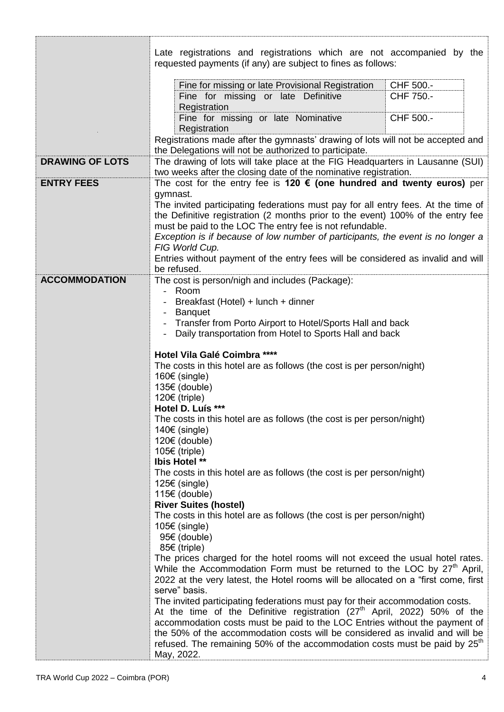|                        | Late registrations and registrations which are not accompanied by the<br>requested payments (if any) are subject to fines as follows:                                                                       |  |  |  |
|------------------------|-------------------------------------------------------------------------------------------------------------------------------------------------------------------------------------------------------------|--|--|--|
|                        | Fine for missing or late Provisional Registration<br>CHF 500.-<br>Fine for missing or late Definitive<br>CHF 750.-<br>Registration                                                                          |  |  |  |
|                        | Fine for missing or late Nominative<br>CHF 500.-<br>Registration                                                                                                                                            |  |  |  |
|                        | Registrations made after the gymnasts' drawing of lots will not be accepted and                                                                                                                             |  |  |  |
| <b>DRAWING OF LOTS</b> | the Delegations will not be authorized to participate.<br>The drawing of lots will take place at the FIG Headquarters in Lausanne (SUI)<br>two weeks after the closing date of the nominative registration. |  |  |  |
| <b>ENTRY FEES</b>      | The cost for the entry fee is 120 $\epsilon$ (one hundred and twenty euros) per                                                                                                                             |  |  |  |
|                        | gymnast.                                                                                                                                                                                                    |  |  |  |
|                        | The invited participating federations must pay for all entry fees. At the time of                                                                                                                           |  |  |  |
|                        | the Definitive registration (2 months prior to the event) 100% of the entry fee<br>must be paid to the LOC The entry fee is not refundable.                                                                 |  |  |  |
|                        | Exception is if because of low number of participants, the event is no longer a                                                                                                                             |  |  |  |
|                        | FIG World Cup.                                                                                                                                                                                              |  |  |  |
|                        | Entries without payment of the entry fees will be considered as invalid and will                                                                                                                            |  |  |  |
| <b>ACCOMMODATION</b>   | be refused.                                                                                                                                                                                                 |  |  |  |
|                        | The cost is person/nigh and includes (Package):<br>Room<br>$\overline{\phantom{0}}$                                                                                                                         |  |  |  |
|                        | Breakfast (Hotel) + lunch + dinner                                                                                                                                                                          |  |  |  |
|                        | <b>Banquet</b><br>$\overline{\phantom{a}}$                                                                                                                                                                  |  |  |  |
|                        | Transfer from Porto Airport to Hotel/Sports Hall and back                                                                                                                                                   |  |  |  |
|                        | Daily transportation from Hotel to Sports Hall and back                                                                                                                                                     |  |  |  |
|                        | Hotel Vila Galé Coimbra ****                                                                                                                                                                                |  |  |  |
|                        | The costs in this hotel are as follows (the cost is per person/night)                                                                                                                                       |  |  |  |
|                        | 160€ (single)                                                                                                                                                                                               |  |  |  |
|                        | 135€ (double)                                                                                                                                                                                               |  |  |  |
|                        | 120€ (triple)                                                                                                                                                                                               |  |  |  |
|                        | Hotel D. Luís ***                                                                                                                                                                                           |  |  |  |
|                        | The costs in this hotel are as follows (the cost is per person/night)<br>$140€$ (single)                                                                                                                    |  |  |  |
|                        | 120€ (double)                                                                                                                                                                                               |  |  |  |
|                        | 105€ (triple)                                                                                                                                                                                               |  |  |  |
|                        | <b>Ibis Hotel **</b>                                                                                                                                                                                        |  |  |  |
|                        | The costs in this hotel are as follows (the cost is per person/night)                                                                                                                                       |  |  |  |
|                        | 125€ (single)<br>115€ (double)                                                                                                                                                                              |  |  |  |
|                        | <b>River Suites (hostel)</b>                                                                                                                                                                                |  |  |  |
|                        | The costs in this hotel are as follows (the cost is per person/night)                                                                                                                                       |  |  |  |
|                        | $105€$ (single)<br>95€ (double)                                                                                                                                                                             |  |  |  |
|                        | 85€ (triple)                                                                                                                                                                                                |  |  |  |
|                        | The prices charged for the hotel rooms will not exceed the usual hotel rates.<br>While the Accommodation Form must be returned to the LOC by 27 <sup>th</sup> April,                                        |  |  |  |
|                        | 2022 at the very latest, the Hotel rooms will be allocated on a "first come, first                                                                                                                          |  |  |  |
|                        | serve" basis.                                                                                                                                                                                               |  |  |  |
|                        | The invited participating federations must pay for their accommodation costs.                                                                                                                               |  |  |  |
|                        | At the time of the Definitive registration $(27th$ April, 2022) 50% of the                                                                                                                                  |  |  |  |
|                        | accommodation costs must be paid to the LOC Entries without the payment of<br>the 50% of the accommodation costs will be considered as invalid and will be                                                  |  |  |  |
|                        | refused. The remaining 50% of the accommodation costs must be paid by 25 <sup>th</sup>                                                                                                                      |  |  |  |
|                        | May, 2022.                                                                                                                                                                                                  |  |  |  |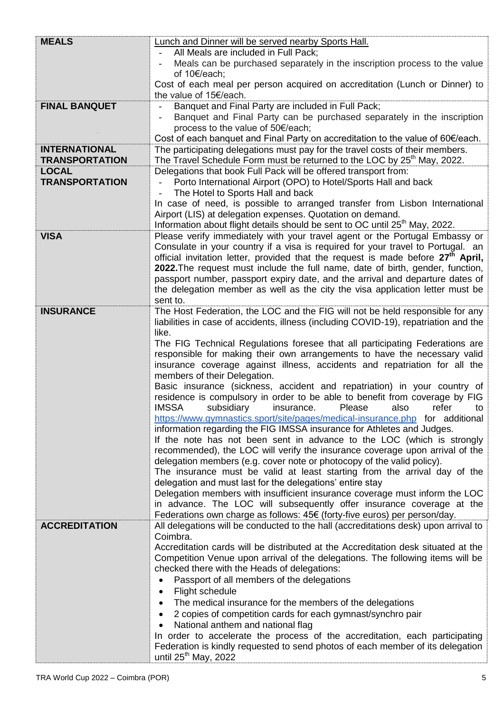| <b>MEALS</b>          | <b>Lunch and Dinner will be served nearby Sports Hall.</b>                                                                                                |  |  |  |
|-----------------------|-----------------------------------------------------------------------------------------------------------------------------------------------------------|--|--|--|
|                       | All Meals are included in Full Pack;                                                                                                                      |  |  |  |
|                       | Meals can be purchased separately in the inscription process to the value                                                                                 |  |  |  |
|                       | of 10€/each;                                                                                                                                              |  |  |  |
|                       | Cost of each meal per person acquired on accreditation (Lunch or Dinner) to                                                                               |  |  |  |
|                       | the value of 15€/each.                                                                                                                                    |  |  |  |
| <b>FINAL BANQUET</b>  | Banquet and Final Party are included in Full Pack;                                                                                                        |  |  |  |
|                       | Banquet and Final Party can be purchased separately in the inscription                                                                                    |  |  |  |
|                       | process to the value of 50€/each;                                                                                                                         |  |  |  |
|                       | Cost of each banquet and Final Party on accreditation to the value of 60€/each.                                                                           |  |  |  |
| <b>INTERNATIONAL</b>  | The participating delegations must pay for the travel costs of their members.                                                                             |  |  |  |
| <b>TRANSPORTATION</b> | The Travel Schedule Form must be returned to the LOC by 25 <sup>th</sup> May, 2022.                                                                       |  |  |  |
| <b>LOCAL</b>          | Delegations that book Full Pack will be offered transport from:                                                                                           |  |  |  |
| <b>TRANSPORTATION</b> | Porto International Airport (OPO) to Hotel/Sports Hall and back                                                                                           |  |  |  |
|                       | The Hotel to Sports Hall and back                                                                                                                         |  |  |  |
|                       | In case of need, is possible to arranged transfer from Lisbon International                                                                               |  |  |  |
|                       | Airport (LIS) at delegation expenses. Quotation on demand.                                                                                                |  |  |  |
|                       | Information about flight details should be sent to OC until 25 <sup>th</sup> May, 2022.                                                                   |  |  |  |
| <b>VISA</b>           | Please verify immediately with your travel agent or the Portugal Embassy or                                                                               |  |  |  |
|                       | Consulate in your country if a visa is required for your travel to Portugal. an                                                                           |  |  |  |
|                       | official invitation letter, provided that the request is made before 27 <sup>th</sup> April,                                                              |  |  |  |
|                       | 2022. The request must include the full name, date of birth, gender, function,                                                                            |  |  |  |
|                       | passport number, passport expiry date, and the arrival and departure dates of                                                                             |  |  |  |
|                       | the delegation member as well as the city the visa application letter must be                                                                             |  |  |  |
|                       | sent to.                                                                                                                                                  |  |  |  |
| <b>INSURANCE</b>      | The Host Federation, the LOC and the FIG will not be held responsible for any                                                                             |  |  |  |
|                       | liabilities in case of accidents, illness (including COVID-19), repatriation and the                                                                      |  |  |  |
|                       | like.                                                                                                                                                     |  |  |  |
|                       | The FIG Technical Regulations foresee that all participating Federations are<br>responsible for making their own arrangements to have the necessary valid |  |  |  |
|                       | insurance coverage against illness, accidents and repatriation for all the                                                                                |  |  |  |
|                       | members of their Delegation.                                                                                                                              |  |  |  |
|                       | Basic insurance (sickness, accident and repatriation) in your country of                                                                                  |  |  |  |
|                       | residence is compulsory in order to be able to benefit from coverage by FIG                                                                               |  |  |  |
|                       | <b>IMSSA</b><br>subsidiary<br>Please<br>also<br>refer<br>insurance.<br>to                                                                                 |  |  |  |
|                       | https://www.gymnastics.sport/site/pages/medical-insurance.php for additional                                                                              |  |  |  |
|                       | information regarding the FIG IMSSA insurance for Athletes and Judges.                                                                                    |  |  |  |
|                       | If the note has not been sent in advance to the LOC (which is strongly                                                                                    |  |  |  |
|                       | recommended), the LOC will verify the insurance coverage upon arrival of the                                                                              |  |  |  |
|                       | delegation members (e.g. cover note or photocopy of the valid policy).                                                                                    |  |  |  |
|                       | The insurance must be valid at least starting from the arrival day of the                                                                                 |  |  |  |
|                       | delegation and must last for the delegations' entire stay                                                                                                 |  |  |  |
|                       | Delegation members with insufficient insurance coverage must inform the LOC                                                                               |  |  |  |
|                       | in advance. The LOC will subsequently offer insurance coverage at the                                                                                     |  |  |  |
|                       | Federations own charge as follows: 45€ (forty-five euros) per person/day.                                                                                 |  |  |  |
| <b>ACCREDITATION</b>  | All delegations will be conducted to the hall (accreditations desk) upon arrival to                                                                       |  |  |  |
|                       | Coimbra.                                                                                                                                                  |  |  |  |
|                       | Accreditation cards will be distributed at the Accreditation desk situated at the                                                                         |  |  |  |
|                       | Competition Venue upon arrival of the delegations. The following items will be                                                                            |  |  |  |
|                       | checked there with the Heads of delegations:                                                                                                              |  |  |  |
|                       | Passport of all members of the delegations                                                                                                                |  |  |  |
|                       | Flight schedule                                                                                                                                           |  |  |  |
|                       | The medical insurance for the members of the delegations                                                                                                  |  |  |  |
|                       | 2 copies of competition cards for each gymnast/synchro pair                                                                                               |  |  |  |
|                       | National anthem and national flag                                                                                                                         |  |  |  |
|                       | In order to accelerate the process of the accreditation, each participating                                                                               |  |  |  |
|                       | Federation is kindly requested to send photos of each member of its delegation                                                                            |  |  |  |
|                       | until 25 <sup>th</sup> May, 2022                                                                                                                          |  |  |  |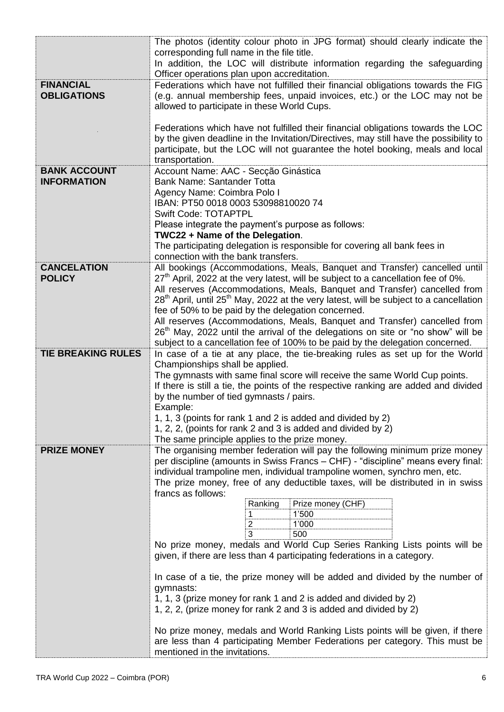|                                           | The photos (identity colour photo in JPG format) should clearly indicate the<br>corresponding full name in the file title.<br>In addition, the LOC will distribute information regarding the safeguarding<br>Officer operations plan upon accreditation.                       |  |  |  |
|-------------------------------------------|--------------------------------------------------------------------------------------------------------------------------------------------------------------------------------------------------------------------------------------------------------------------------------|--|--|--|
| <b>FINANCIAL</b><br><b>OBLIGATIONS</b>    | Federations which have not fulfilled their financial obligations towards the FIG<br>(e.g. annual membership fees, unpaid invoices, etc.) or the LOC may not be<br>allowed to participate in these World Cups.                                                                  |  |  |  |
|                                           | Federations which have not fulfilled their financial obligations towards the LOC<br>by the given deadline in the Invitation/Directives, may still have the possibility to<br>participate, but the LOC will not guarantee the hotel booking, meals and local<br>transportation. |  |  |  |
| <b>BANK ACCOUNT</b><br><b>INFORMATION</b> | Account Name: AAC - Secção Ginástica<br><b>Bank Name: Santander Totta</b><br>Agency Name: Coimbra Polo I<br>IBAN: PT50 0018 0003 53098810020 74                                                                                                                                |  |  |  |
|                                           | <b>Swift Code: TOTAPTPL</b><br>Please integrate the payment's purpose as follows:<br>TWC22 + Name of the Delegation.<br>The participating delegation is responsible for covering all bank fees in                                                                              |  |  |  |
| <b>CANCELATION</b>                        | connection with the bank transfers.<br>All bookings (Accommodations, Meals, Banquet and Transfer) cancelled until                                                                                                                                                              |  |  |  |
| <b>POLICY</b>                             | $27th$ April, 2022 at the very latest, will be subject to a cancellation fee of 0%.<br>All reserves (Accommodations, Meals, Banquet and Transfer) cancelled from                                                                                                               |  |  |  |
|                                           | 28 <sup>th</sup> April, until 25 <sup>th</sup> May, 2022 at the very latest, will be subject to a cancellation                                                                                                                                                                 |  |  |  |
|                                           | fee of 50% to be paid by the delegation concerned.<br>All reserves (Accommodations, Meals, Banquet and Transfer) cancelled from                                                                                                                                                |  |  |  |
|                                           | 26 <sup>th</sup> May, 2022 until the arrival of the delegations on site or "no show" will be                                                                                                                                                                                   |  |  |  |
| <b>TIE BREAKING RULES</b>                 | subject to a cancellation fee of 100% to be paid by the delegation concerned.<br>In case of a tie at any place, the tie-breaking rules as set up for the World                                                                                                                 |  |  |  |
|                                           | Championships shall be applied.<br>The gymnasts with same final score will receive the same World Cup points.                                                                                                                                                                  |  |  |  |
|                                           | If there is still a tie, the points of the respective ranking are added and divided                                                                                                                                                                                            |  |  |  |
|                                           | by the number of tied gymnasts / pairs.<br>Example:                                                                                                                                                                                                                            |  |  |  |
|                                           | 1, 1, 3 (points for rank 1 and 2 is added and divided by 2)                                                                                                                                                                                                                    |  |  |  |
|                                           | 1, 2, 2, (points for rank 2 and 3 is added and divided by 2)<br>The same principle applies to the prize money.                                                                                                                                                                 |  |  |  |
| <b>PRIZE MONEY</b>                        | The organising member federation will pay the following minimum prize money                                                                                                                                                                                                    |  |  |  |
|                                           | per discipline (amounts in Swiss Francs - CHF) - "discipline" means every final:<br>individual trampoline men, individual trampoline women, synchro men, etc.                                                                                                                  |  |  |  |
|                                           | The prize money, free of any deductible taxes, will be distributed in in swiss                                                                                                                                                                                                 |  |  |  |
|                                           | francs as follows:<br>Prize money (CHF)<br>Ranking                                                                                                                                                                                                                             |  |  |  |
|                                           | 1'500<br>1<br>1'000<br>2                                                                                                                                                                                                                                                       |  |  |  |
|                                           | 500                                                                                                                                                                                                                                                                            |  |  |  |
|                                           | No prize money, medals and World Cup Series Ranking Lists points will be<br>given, if there are less than 4 participating federations in a category.                                                                                                                           |  |  |  |
|                                           | In case of a tie, the prize money will be added and divided by the number of<br>gymnasts:                                                                                                                                                                                      |  |  |  |
|                                           | 1, 1, 3 (prize money for rank 1 and 2 is added and divided by 2)<br>1, 2, 2, (prize money for rank 2 and 3 is added and divided by 2)                                                                                                                                          |  |  |  |
|                                           | No prize money, medals and World Ranking Lists points will be given, if there<br>are less than 4 participating Member Federations per category. This must be<br>mentioned in the invitations.                                                                                  |  |  |  |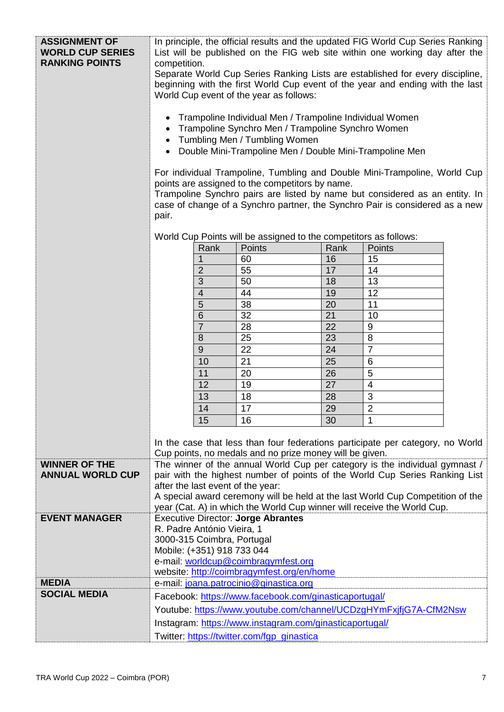| <b>ASSIGNMENT OF</b><br><b>WORLD CUP SERIES</b><br><b>RANKING POINTS</b> | In principle, the official results and the updated FIG World Cup Series Ranking<br>List will be published on the FIG web site within one working day after the<br>competition.<br>Separate World Cup Series Ranking Lists are established for every discipline,<br>beginning with the first World Cup event of the year and ending with the last<br>World Cup event of the year as follows:<br>Trampoline Individual Men / Trampoline Individual Women<br>Trampoline Synchro Men / Trampoline Synchro Women<br>Tumbling Men / Tumbling Women<br>Double Mini-Trampoline Men / Double Mini-Trampoline Men<br>For individual Trampoline, Tumbling and Double Mini-Trampoline, World Cup<br>points are assigned to the competitors by name.<br>Trampoline Synchro pairs are listed by name but considered as an entity. In<br>case of change of a Synchro partner, the Synchro Pair is considered as a new<br>pair. |                                                                             |      |                |  |
|--------------------------------------------------------------------------|-----------------------------------------------------------------------------------------------------------------------------------------------------------------------------------------------------------------------------------------------------------------------------------------------------------------------------------------------------------------------------------------------------------------------------------------------------------------------------------------------------------------------------------------------------------------------------------------------------------------------------------------------------------------------------------------------------------------------------------------------------------------------------------------------------------------------------------------------------------------------------------------------------------------|-----------------------------------------------------------------------------|------|----------------|--|
|                                                                          |                                                                                                                                                                                                                                                                                                                                                                                                                                                                                                                                                                                                                                                                                                                                                                                                                                                                                                                 | World Cup Points will be assigned to the competitors as follows:            |      |                |  |
|                                                                          | Rank                                                                                                                                                                                                                                                                                                                                                                                                                                                                                                                                                                                                                                                                                                                                                                                                                                                                                                            | <b>Points</b>                                                               | Rank | Points         |  |
|                                                                          |                                                                                                                                                                                                                                                                                                                                                                                                                                                                                                                                                                                                                                                                                                                                                                                                                                                                                                                 | 60                                                                          | 16   | 15             |  |
|                                                                          | 2                                                                                                                                                                                                                                                                                                                                                                                                                                                                                                                                                                                                                                                                                                                                                                                                                                                                                                               | 55                                                                          | 17   | 14             |  |
|                                                                          | 3                                                                                                                                                                                                                                                                                                                                                                                                                                                                                                                                                                                                                                                                                                                                                                                                                                                                                                               | 50                                                                          | 18   | 13             |  |
|                                                                          | $\overline{\mathcal{L}}$                                                                                                                                                                                                                                                                                                                                                                                                                                                                                                                                                                                                                                                                                                                                                                                                                                                                                        | 44                                                                          | 19   | 12             |  |
|                                                                          | 5                                                                                                                                                                                                                                                                                                                                                                                                                                                                                                                                                                                                                                                                                                                                                                                                                                                                                                               | 38                                                                          | 20   | 11             |  |
|                                                                          | 6                                                                                                                                                                                                                                                                                                                                                                                                                                                                                                                                                                                                                                                                                                                                                                                                                                                                                                               | 32                                                                          | 21   | 10             |  |
|                                                                          | $\overline{7}$                                                                                                                                                                                                                                                                                                                                                                                                                                                                                                                                                                                                                                                                                                                                                                                                                                                                                                  | 28                                                                          | 22   | $9\,$          |  |
|                                                                          | 8                                                                                                                                                                                                                                                                                                                                                                                                                                                                                                                                                                                                                                                                                                                                                                                                                                                                                                               | 25                                                                          | 23   | 8              |  |
|                                                                          | $\overline{9}$                                                                                                                                                                                                                                                                                                                                                                                                                                                                                                                                                                                                                                                                                                                                                                                                                                                                                                  | 22                                                                          | 24   | $\overline{7}$ |  |
|                                                                          | 10                                                                                                                                                                                                                                                                                                                                                                                                                                                                                                                                                                                                                                                                                                                                                                                                                                                                                                              | 21                                                                          | 25   | 6              |  |
|                                                                          | 11                                                                                                                                                                                                                                                                                                                                                                                                                                                                                                                                                                                                                                                                                                                                                                                                                                                                                                              | 20                                                                          | 26   | 5              |  |
|                                                                          | 12                                                                                                                                                                                                                                                                                                                                                                                                                                                                                                                                                                                                                                                                                                                                                                                                                                                                                                              | 19                                                                          | 27   | $\overline{4}$ |  |
|                                                                          | 13                                                                                                                                                                                                                                                                                                                                                                                                                                                                                                                                                                                                                                                                                                                                                                                                                                                                                                              | 18                                                                          | 28   | 3              |  |
|                                                                          | 14                                                                                                                                                                                                                                                                                                                                                                                                                                                                                                                                                                                                                                                                                                                                                                                                                                                                                                              | 17                                                                          | 29   | $\overline{2}$ |  |
|                                                                          | 16<br>30<br>15<br>1                                                                                                                                                                                                                                                                                                                                                                                                                                                                                                                                                                                                                                                                                                                                                                                                                                                                                             |                                                                             |      |                |  |
|                                                                          | In the case that less than four federations participate per category, no World<br>Cup points, no medals and no prize money will be given.                                                                                                                                                                                                                                                                                                                                                                                                                                                                                                                                                                                                                                                                                                                                                                       |                                                                             |      |                |  |
| <b>WINNER OF THE</b>                                                     | The winner of the annual World Cup per category is the individual gymnast /                                                                                                                                                                                                                                                                                                                                                                                                                                                                                                                                                                                                                                                                                                                                                                                                                                     |                                                                             |      |                |  |
| <b>ANNUAL WORLD CUP</b>                                                  |                                                                                                                                                                                                                                                                                                                                                                                                                                                                                                                                                                                                                                                                                                                                                                                                                                                                                                                 | pair with the highest number of points of the World Cup Series Ranking List |      |                |  |
|                                                                          | after the last event of the year:<br>A special award ceremony will be held at the last World Cup Competition of the                                                                                                                                                                                                                                                                                                                                                                                                                                                                                                                                                                                                                                                                                                                                                                                             |                                                                             |      |                |  |
|                                                                          |                                                                                                                                                                                                                                                                                                                                                                                                                                                                                                                                                                                                                                                                                                                                                                                                                                                                                                                 |                                                                             |      |                |  |
| <b>EVENT MANAGER</b>                                                     | year (Cat. A) in which the World Cup winner will receive the World Cup.<br><b>Executive Director: Jorge Abrantes</b>                                                                                                                                                                                                                                                                                                                                                                                                                                                                                                                                                                                                                                                                                                                                                                                            |                                                                             |      |                |  |
|                                                                          | R. Padre António Vieira, 1                                                                                                                                                                                                                                                                                                                                                                                                                                                                                                                                                                                                                                                                                                                                                                                                                                                                                      |                                                                             |      |                |  |
|                                                                          | 3000-315 Coimbra, Portugal                                                                                                                                                                                                                                                                                                                                                                                                                                                                                                                                                                                                                                                                                                                                                                                                                                                                                      |                                                                             |      |                |  |
|                                                                          | Mobile: (+351) 918 733 044                                                                                                                                                                                                                                                                                                                                                                                                                                                                                                                                                                                                                                                                                                                                                                                                                                                                                      |                                                                             |      |                |  |
|                                                                          | e-mail: worldcup@coimbragymfest.org                                                                                                                                                                                                                                                                                                                                                                                                                                                                                                                                                                                                                                                                                                                                                                                                                                                                             |                                                                             |      |                |  |
|                                                                          | website: http://coimbragymfest.org/en/home                                                                                                                                                                                                                                                                                                                                                                                                                                                                                                                                                                                                                                                                                                                                                                                                                                                                      |                                                                             |      |                |  |
| <b>MEDIA</b>                                                             |                                                                                                                                                                                                                                                                                                                                                                                                                                                                                                                                                                                                                                                                                                                                                                                                                                                                                                                 | e-mail: joana.patrocinio@ginastica.org                                      |      |                |  |
| <b>SOCIAL MEDIA</b>                                                      |                                                                                                                                                                                                                                                                                                                                                                                                                                                                                                                                                                                                                                                                                                                                                                                                                                                                                                                 | Facebook: https://www.facebook.com/ginasticaportugal/                       |      |                |  |
|                                                                          | Youtube: https://www.youtube.com/channel/UCDzgHYmFxjfjG7A-CfM2Nsw                                                                                                                                                                                                                                                                                                                                                                                                                                                                                                                                                                                                                                                                                                                                                                                                                                               |                                                                             |      |                |  |
|                                                                          | Instagram: https://www.instagram.com/ginasticaportugal/                                                                                                                                                                                                                                                                                                                                                                                                                                                                                                                                                                                                                                                                                                                                                                                                                                                         |                                                                             |      |                |  |
|                                                                          | Twitter: https://twitter.com/fgp_ginastica                                                                                                                                                                                                                                                                                                                                                                                                                                                                                                                                                                                                                                                                                                                                                                                                                                                                      |                                                                             |      |                |  |
|                                                                          |                                                                                                                                                                                                                                                                                                                                                                                                                                                                                                                                                                                                                                                                                                                                                                                                                                                                                                                 |                                                                             |      |                |  |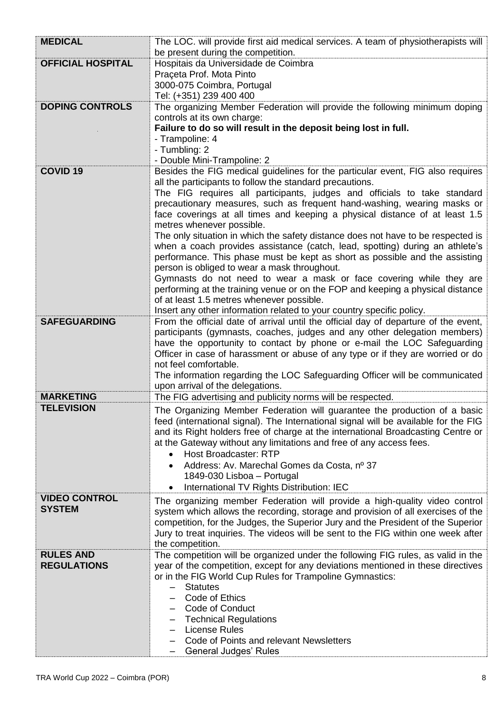| <b>MEDICAL</b>           | The LOC. will provide first aid medical services. A team of physiotherapists will<br>be present during the competition.                                     |
|--------------------------|-------------------------------------------------------------------------------------------------------------------------------------------------------------|
| <b>OFFICIAL HOSPITAL</b> | Hospitais da Universidade de Coimbra                                                                                                                        |
|                          | Praçeta Prof. Mota Pinto                                                                                                                                    |
|                          | 3000-075 Coimbra, Portugal                                                                                                                                  |
|                          | Tel: (+351) 239 400 400                                                                                                                                     |
| <b>DOPING CONTROLS</b>   | The organizing Member Federation will provide the following minimum doping                                                                                  |
|                          | controls at its own charge:                                                                                                                                 |
|                          | Failure to do so will result in the deposit being lost in full.                                                                                             |
|                          | - Trampoline: 4                                                                                                                                             |
|                          | - Tumbling: 2                                                                                                                                               |
|                          | - Double Mini-Trampoline: 2                                                                                                                                 |
| <b>COVID 19</b>          | Besides the FIG medical guidelines for the particular event, FIG also requires                                                                              |
|                          | all the participants to follow the standard precautions.                                                                                                    |
|                          | The FIG requires all participants, judges and officials to take standard                                                                                    |
|                          | precautionary measures, such as frequent hand-washing, wearing masks or                                                                                     |
|                          | face coverings at all times and keeping a physical distance of at least 1.5                                                                                 |
|                          | metres whenever possible.                                                                                                                                   |
|                          | The only situation in which the safety distance does not have to be respected is                                                                            |
|                          | when a coach provides assistance (catch, lead, spotting) during an athlete's<br>performance. This phase must be kept as short as possible and the assisting |
|                          | person is obliged to wear a mask throughout.                                                                                                                |
|                          | Gymnasts do not need to wear a mask or face covering while they are                                                                                         |
|                          | performing at the training venue or on the FOP and keeping a physical distance                                                                              |
|                          | of at least 1.5 metres whenever possible.                                                                                                                   |
|                          | Insert any other information related to your country specific policy.                                                                                       |
| <b>SAFEGUARDING</b>      | From the official date of arrival until the official day of departure of the event,                                                                         |
|                          | participants (gymnasts, coaches, judges and any other delegation members)                                                                                   |
|                          | have the opportunity to contact by phone or e-mail the LOC Safeguarding                                                                                     |
|                          | Officer in case of harassment or abuse of any type or if they are worried or do                                                                             |
|                          | not feel comfortable.                                                                                                                                       |
|                          | The information regarding the LOC Safeguarding Officer will be communicated                                                                                 |
|                          | upon arrival of the delegations.                                                                                                                            |
| <b>MARKETING</b>         | The FIG advertising and publicity norms will be respected.                                                                                                  |
| <b>TELEVISION</b>        | The Organizing Member Federation will guarantee the production of a basic                                                                                   |
|                          | feed (international signal). The International signal will be available for the FIG                                                                         |
|                          | and its Right holders free of charge at the international Broadcasting Centre or                                                                            |
|                          | at the Gateway without any limitations and free of any access fees.                                                                                         |
|                          | <b>Host Broadcaster: RTP</b><br>$\bullet$                                                                                                                   |
|                          | Address: Av. Marechal Gomes da Costa, nº 37                                                                                                                 |
|                          | 1849-030 Lisboa - Portugal                                                                                                                                  |
|                          | International TV Rights Distribution: IEC                                                                                                                   |
| <b>VIDEO CONTROL</b>     | The organizing member Federation will provide a high-quality video control                                                                                  |
| <b>SYSTEM</b>            | system which allows the recording, storage and provision of all exercises of the                                                                            |
|                          | competition, for the Judges, the Superior Jury and the President of the Superior                                                                            |
|                          | Jury to treat inquiries. The videos will be sent to the FIG within one week after                                                                           |
|                          | the competition.                                                                                                                                            |
| <b>RULES AND</b>         | The competition will be organized under the following FIG rules, as valid in the                                                                            |
| <b>REGULATIONS</b>       | year of the competition, except for any deviations mentioned in these directives<br>or in the FIG World Cup Rules for Trampoline Gymnastics:                |
|                          | <b>Statutes</b><br>$\overline{\phantom{0}}$                                                                                                                 |
|                          | Code of Ethics                                                                                                                                              |
|                          | Code of Conduct                                                                                                                                             |
|                          | <b>Technical Regulations</b>                                                                                                                                |
|                          | <b>License Rules</b>                                                                                                                                        |
|                          | Code of Points and relevant Newsletters                                                                                                                     |
|                          | <b>General Judges' Rules</b>                                                                                                                                |